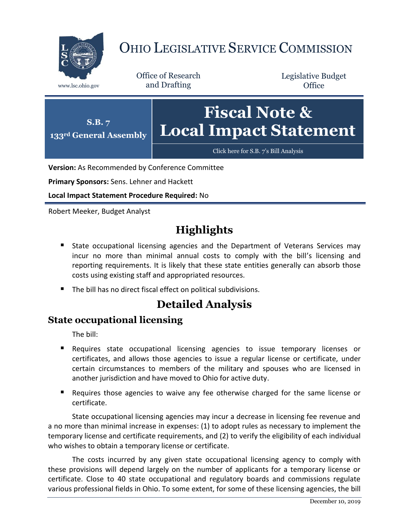

# OHIO LEGISLATIVE SERVICE COMMISSION

Office of Research www.lsc.ohio.gov and Drafting

Legislative Budget **Office** 



**Version:** As Recommended by Conference Committee

**Primary Sponsors:** Sens. Lehner and Hackett

**Local Impact Statement Procedure Required:** No

Robert Meeker, Budget Analyst

## **Highlights**

- **State occupational licensing agencies and the Department of Veterans Services may** incur no more than minimal annual costs to comply with the bill's licensing and reporting requirements. It is likely that these state entities generally can absorb those costs using existing staff and appropriated resources.
- The bill has no direct fiscal effect on political subdivisions.

## **Detailed Analysis**

#### **State occupational licensing**

The bill:

- Requires state occupational licensing agencies to issue temporary licenses or certificates, and allows those agencies to issue a regular license or certificate, under certain circumstances to members of the military and spouses who are licensed in another jurisdiction and have moved to Ohio for active duty.
- **Requires those agencies to waive any fee otherwise charged for the same license or** certificate.

State occupational licensing agencies may incur a decrease in licensing fee revenue and a no more than minimal increase in expenses: (1) to adopt rules as necessary to implement the temporary license and certificate requirements, and (2) to verify the eligibility of each individual who wishes to obtain a temporary license or certificate.

The costs incurred by any given state occupational licensing agency to comply with these provisions will depend largely on the number of applicants for a temporary license or certificate. Close to 40 state occupational and regulatory boards and commissions regulate various professional fields in Ohio. To some extent, for some of these licensing agencies, the bill